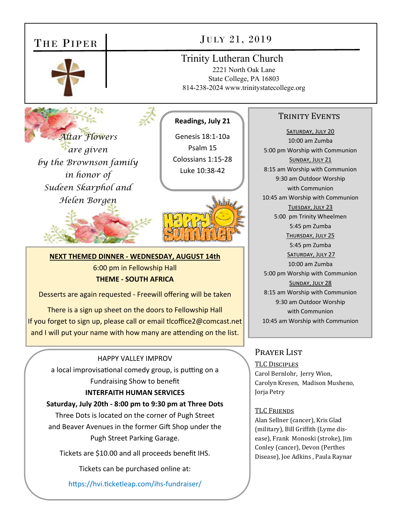# THE PIPER



# JULY 21, 2019

## Trinity Lutheran Church

2221 North Oak Lane State College, PA 16803 814-238-2024 www.trinitystatecollege.org

*Altar Flowers are given by the Brownson family in honor of Sudeen Skarphol and Helen Borgen* 



**Readings, July 21** 

Genesis 18:1‐10a Psalm 15 Colossians 1:15‐28 Luke 10:38‐42



## **NEXT THEMED DINNER ‐ WEDNESDAY, AUGUST 14th**

6:00 pm in Fellowship Hall

## **THEME ‐ SOUTH AFRICA**

Desserts are again requested ‐ Freewill offering will be taken

There is a sign up sheet on the doors to Fellowship Hall If you forget to sign up, please call or email tlcoffice2@comcast.net and I will put your name with how many are attending on the list.

## HAPPY VALLEY IMPROV

a local improvisational comedy group, is putting on a Fundraising Show to benefit

## **INTERFAITH HUMAN SERVICES**

## **Saturday, July 20th ‐ 8:00 pm to 9:30 pm at Three Dots**

Three Dots is located on the corner of Pugh Street and Beaver Avenues in the former Gift Shop under the Pugh Street Parking Garage.

Tickets are \$10.00 and all proceeds benefit IHS.

Tickets can be purchased online at:

https://hvi.ticketleap.com/ihs-fundraiser/

## TRINITY EVENTS

SATURDAY, JULY 20 10:00 am Zumba 5:00 pm Worship with Communion SUNDAY, JULY 21 8:15 am Worship with Communion 9:30 am Outdoor Worship with Communion 10:45 am Worship with Communion TUESDAY, JULY 23 5:00 pm Trinity Wheelmen 5:45 pm Zumba THURSDAY, JULY 25 5:45 pm Zumba SATURDAY, JULY 27 10:00 am Zumba 5:00 pm Worship with Communion SUNDAY, JULY 28 8:15 am Worship with Communion 9:30 am Outdoor Worship with Communion 10:45 am Worship with Communion

## Prayer List

TLC DISCIPLES Carol Bernlohr, Jerry Wion, Carolyn Kresen, Madison Musheno, Jorja Petry

## TLC FRIENDS

Alan Sellner (cancer), Kris Glad (military), Bill Griffith (Lyme disease), Frank Monoski (stroke), Jim Conley (cancer), Devon (Perthes Disease), Joe Adkins , Paula Raynar